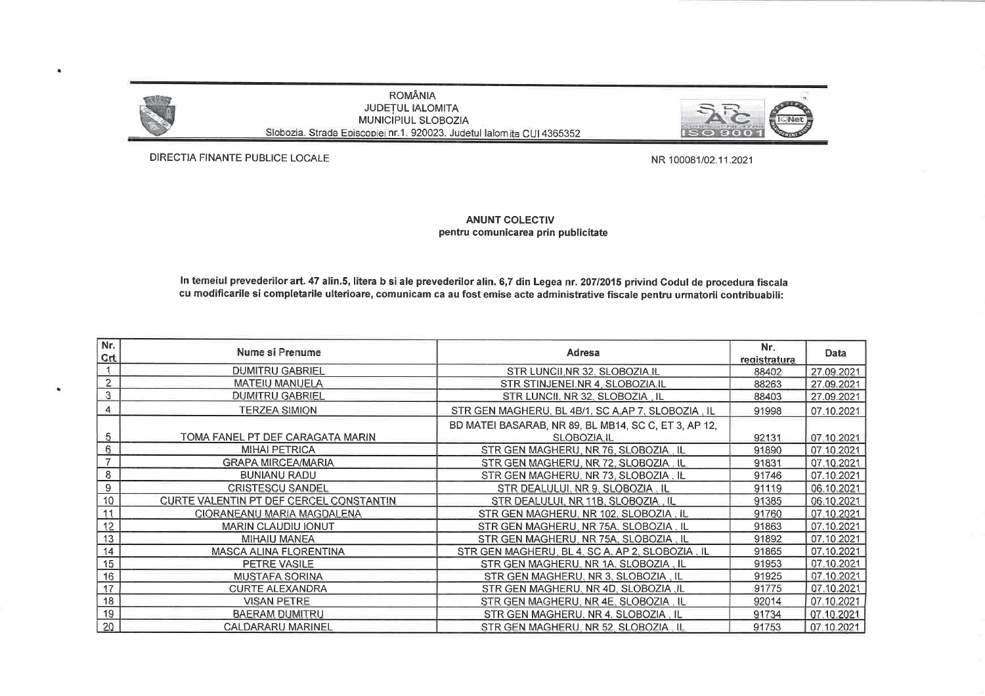

 $\bullet$ 

٠

**ROMÂNIA** JUDEȚUL IALOMITA MUNICIPIUL SLOBOZIA Slobozia. Strada Episcopiei nr.1. 920023. Judetul lalomita CUI 4365352



DIRECTIA FINANTE PUBLICE LOCALE

NR 100081/02.11.2021

## **ANUNT COLECTIV** pentru comunicarea prin publicitate

In temeiul prevederilor art. 47 alin.5, litera b si ale prevederilor alin. 6,7 din Legea nr. 207/2015 privind Codul de procedura fiscala cu modificarile si completarile ulterioare, comunicam ca au fost emise acte administrative fiscale pentru urmatorii contribuabili:

| Nr.<br>Crt     | Nume si Prenume                                | Adresa                                                              | Nr.<br>registratura | Data       |
|----------------|------------------------------------------------|---------------------------------------------------------------------|---------------------|------------|
|                | <b>DUMITRU GABRIEL</b>                         | STR LUNCII, NR 32, SLOBOZIA, IL                                     | 88402               | 27.09.2021 |
| $\overline{2}$ | <b>MATEIU MANUELA</b>                          | STR STINJENEI.NR 4, SLOBOZIA.IL                                     | 88263               | 27.09.2021 |
| 3              | <b>DUMITRU GABRIEL</b>                         | STR LUNCII, NR 32, SLOBOZIA, IL                                     | 88403               | 27.09.2021 |
| 4              | <b>TERZEA SIMION</b>                           | STR GEN MAGHERU, BL 4B/1, SC A, AP 7, SLOBOZIA, IL                  | 91998               | 07.10.2021 |
| 5 <sub>1</sub> | TOMA FANEL PT DEF CARAGATA MARIN               | BD MATEI BASARAB, NR 89, BL MB14, SC C, ET 3, AP 12,<br>SLOBOZIA.IL | 92131               | 07.10.2021 |
| 6              | <b>MIHAI PETRICA</b>                           | STR GEN MAGHERU, NR 76, SLOBOZIA, IL                                | 91890               | 07.10.2021 |
|                | <b>GRAPA MIRCEA/MARIA</b>                      | STR GEN MAGHERU, NR 72, SLOBOZIA, IL                                | 91831               | 07.10.2021 |
| 8              | <b>BUNIANU RADU</b>                            | STR GEN MAGHERU. NR 73. SLOBOZIA. IL                                | 91746               | 07.10.2021 |
| 9              | <b>CRISTESCU SANDEL</b>                        | STR DEALULUI, NR 9, SLOBOZIA, IL                                    | 91119               | 06.10.2021 |
| 10             | <b>CURTE VALENTIN PT DEF CERCEL CONSTANTIN</b> | STR DEALULUI, NR 11B, SLOBOZIA, IL                                  | 91385               | 06.10.2021 |
| 11             | CIORANEANU MARIA MAGDALENA                     | STR GEN MAGHERU, NR 102, SLOBOZIA, IL                               | 91760               | 07.10.2021 |
| 12             | <b>MARIN CLAUDIU IONUT</b>                     | STR GEN MAGHERU, NR 75A. SLOBOZIA. IL                               | 91863               | 07.10.2021 |
| 13             | <b>MIHAIU MANEA</b>                            | STR GEN MAGHERU, NR 75A, SLOBOZIA, IL                               | 91892               | 07.10.2021 |
| 14             | MASCA ALINA FLORENTINA                         | STR GEN MAGHERU, BL 4, SC A, AP 2, SLOBOZIA, IL                     | 91865               | 07.10.2021 |
| 15             | PETRE VASILE                                   | STR GEN MAGHERU. NR 1A. SLOBOZIA. IL                                | 91953               | 07.10.2021 |
| 16             | <b>MUSTAFA SORINA</b>                          | STR GEN MAGHERU. NR 3. SLOBOZIA . IL                                | 91925               | 07.10.2021 |
| 17             | <b>CURTE ALEXANDRA</b>                         | STR GEN MAGHERU. NR 4D. SLOBOZIA .IL                                | 91775               | 07.10.2021 |
| 18             | <b>VISAN PETRE</b>                             | STR GEN MAGHERU. NR 4E. SLOBOZIA, IL                                | 92014               | 07.10.2021 |
| 19             | <b>BAERAM DUMITRU</b>                          | STR GEN MAGHERU, NR 4, SLOBOZIA, IL                                 | 91734               | 07.10.2021 |
| 20             | CALDARARU MARINEL                              | STR GEN MAGHERU. NR 52. SLOBOZIA. IL                                | 91753               | 07.10.2021 |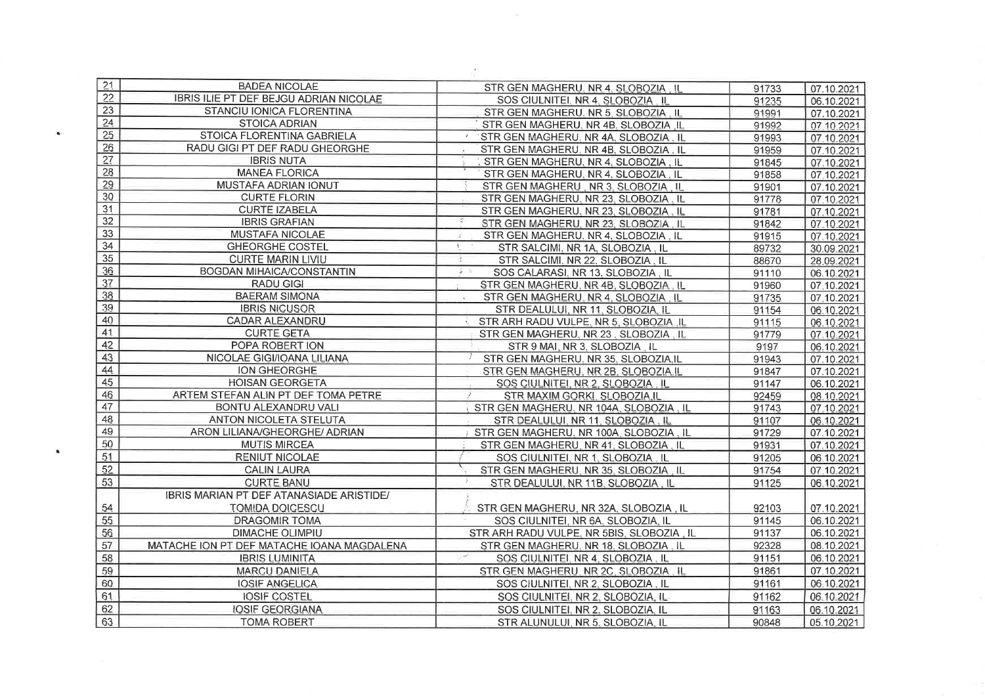| 21              | <b>BADEA NICOLAE</b>                       | STR GEN MAGHERU. NR 4. SLOBOZIA, IL                         | 91733 | 07.10.2021 |
|-----------------|--------------------------------------------|-------------------------------------------------------------|-------|------------|
| 22              | IBRIS ILIE PT DEF BEJGU ADRIAN NICOLAE     | SOS CIULNITEI. NR 4. SLOBOZIA . IL                          | 91235 | 06.10.2021 |
| 23              | STANCIU IONICA FLORENTINA                  | STR GEN MAGHERU. NR 5. SLOBOZIA. IL                         | 91991 | 07.10.2021 |
| 24              | <b>STOICA ADRIAN</b>                       | STR GEN MAGHERU, NR 4B, SLOBOZIA, IL                        | 91992 | 07.10.2021 |
| 25              | STOICA FLORENTINA GABRIELA                 | STR GEN MAGHERU, NR 4A, SLOBOZIA, IL                        | 91993 | 07.10.2021 |
| 26              | RADU GIGI PT DEF RADU GHEORGHE             | STR GEN MAGHERU, NR 4B, SLOBOZIA, IL                        | 91959 | 07.10.2021 |
| 27              | <b>IBRIS NUTA</b>                          | STR GEN MAGHERU, NR 4, SLOBOZIA, IL                         | 91845 | 07.10.2021 |
| 28              | <b>MANEA FLORICA</b>                       | STR GEN MAGHERU, NR 4, SLOBOZIA, IL                         | 91858 | 07.10.2021 |
| 29              | MUSTAFA ADRIAN IONUT                       | STR GEN MAGHERU, NR 3, SLOBOZIA, IL                         | 91901 | 07.10.2021 |
| 30              | <b>CURTE FLORIN</b>                        | STR GEN MAGHERU. NR 23, SLOBOZIA. IL                        | 91778 | 07.10.2021 |
| 31              | <b>CURTE IZABELA</b>                       | STR GEN MAGHERU. NR 23, SLOBOZIA, IL                        | 91781 | 07.10.2021 |
| 32              | <b>IBRIS GRAFIAN</b>                       | STR GEN MAGHERU, NR 23, SLOBOZIA, IL                        | 91842 | 07.10.2021 |
| 33              | MUSTAFA NICOLAE                            | STR GEN MAGHERU, NR 4, SLOBOZIA, IL<br>崔                    | 91915 | 07.10.2021 |
| $\overline{34}$ | <b>GHEORGHE COSTEL</b>                     | $\overline{\mathbf{z}}$<br>STR SALCIMI, NR 1A, SLOBOZIA, IL | 89732 | 30.09.2021 |
| 35              | <b>CURTE MARIN LIVIU</b>                   | STR SALCIMI, NR 22, SLOBOZIA . IL                           | 88670 | 28.09.2021 |
| 36              | <b>BOGDAN MIHAICA/CONSTANTIN</b>           | 2.14<br>SOS CALARASI, NR 13, SLOBOZIA, IL                   | 91110 | 06.10.2021 |
| 37              | <b>RADU GIGI</b>                           | STR GEN MAGHERU, NR 4B, SLOBOZIA, IL                        | 91960 | 07.10.2021 |
| 38              | <b>BAERAM SIMONA</b>                       | STR GEN MAGHERU, NR 4, SLOBOZIA, IL                         | 91735 | 07.10.2021 |
| 39              | <b>IBRIS NICUSOR</b>                       | STR DEALULUI, NR 11, SLOBOZIA, IL                           | 91154 | 06.10.2021 |
| 40              | <b>CADAR ALEXANDRU</b>                     | STR ARH RADU VULPE, NR 5, SLOBOZIA IL                       | 91115 | 06.10.2021 |
| 41              | <b>CURTE GETA</b>                          | STR GEN MAGHERU, NR 23, SLOBOZIA, IL                        | 91779 | 07.10.2021 |
| 42              | POPA ROBERT ION                            | STR 9 MAI, NR 3. SLOBOZIA, IL                               | 9197  | 06.10.2021 |
| 43              | NICOLAE GIGI/IOANA LILIANA                 | STR GEN MAGHERU. NR 35. SLOBOZIA.IL                         | 91943 | 07.10.2021 |
| 44              | ION GHEORGHE                               | STR GEN MAGHERU, NR 2B, SLOBOZIA, IL                        | 91847 | 07.10.2021 |
| 45              | <b>HOISAN GEORGETA</b>                     | SOS CIULNITEI, NR 2, SLOBOZIA, IL                           | 91147 | 06.10.2021 |
| 46              | ARTEM STEFAN ALIN PT DEF TOMA PETRE        | $\mathcal{P}$<br>STR MAXIM GORKI, SLOBOZIA, IL              | 92459 | 08.10.2021 |
| 47              | BONTU ALEXANDRU VALI                       | STR GEN MAGHERU, NR 104A, SLOBOZIA, IL                      | 91743 | 07.10.2021 |
| 48              | ANTON NICOLETA STELUTA                     | STR DEALULUI, NR 11, SLOBOZIA. IL                           | 91107 | 06.10.2021 |
| 49              | ARON LILIANA/GHEORGHE/ ADRIAN              | STR GEN MAGHERU, NR 100A, SLOBOZIA, IL                      | 91729 | 07.10.2021 |
| 50              | <b>MUTIS MIRCEA</b>                        | STR GEN MAGHERU, NR 41, SLOBOZIA. IL                        | 91931 | 07.10.2021 |
| 51              | <b>RENIUT NICOLAE</b>                      | SOS CIULNITEI, NR 1, SLOBOZIA, IL                           | 91205 | 06.10.2021 |
| 52              | <b>CALIN LAURA</b>                         | STR GEN MAGHERU, NR 35, SLOBOZIA, IL                        | 91754 | 07.10.2021 |
| 53              | <b>CURTE BANU</b>                          | -2<br>STR DEALULUI, NR 11B, SLOBOZIA, IL                    | 91125 | 06.10.2021 |
|                 | IBRIS MARIAN PT DEF ATANASIADE ARISTIDE/   |                                                             |       |            |
| 54              | <b>TOMIDA DOICESCU</b>                     | STR GEN MAGHERU. NR 32A. SLOBOZIA. IL                       | 92103 | 07.10.2021 |
| 55              | <b>DRAGOMIR TOMA</b>                       | SOS CIULNITEI, NR 6A, SLOBOZIA, IL                          | 91145 | 06.10.2021 |
| 56              | <b>DIMACHE OLIMPIU</b>                     | STR ARH RADU VULPE, NR 5BIS, SLOBOZIA, IL                   | 91137 | 06.10.2021 |
| 57              | MATACHE ION PT DEF MATACHE IOANA MAGDALENA | STR GEN MAGHERU, NR 18, SLOBOZIA, IL                        | 92328 | 08.10.2021 |
| 58              | <b>IBRIS LUMINITA</b>                      | SOS CIULNITEI, NR 4, SLOBOZIA, IL                           | 91151 | 06.10.2021 |
| 59              | <b>MARCU DANIELA</b>                       | STR GEN MAGHERU, NR 2C, SLOBOZIA, IL                        | 91861 | 07.10.2021 |
| 60              | <b>IOSIF ANGELICA</b>                      | SOS CIULNITEI, NR 2, SLOBOZIA, IL                           | 91161 | 06.10.2021 |
| 61              | <b>IOSIF COSTEL</b>                        |                                                             |       |            |
| 62              |                                            | SOS CIULNITEI, NR 2, SLOBOZIA, IL                           | 91162 | 06.10.2021 |
|                 | <b>IOSIF GEORGIANA</b>                     | SOS CIULNITEI, NR 2, SLOBOZIA, IL                           | 91163 | 06.10.2021 |
| 63              | <b>TOMA ROBERT</b>                         | STR ALUNULUI, NR 5, SLOBOZIA, IL                            | 90848 | 05.10.2021 |

 $\bullet$ 

 $\bullet$ 

 $\sim 10^{-1}$